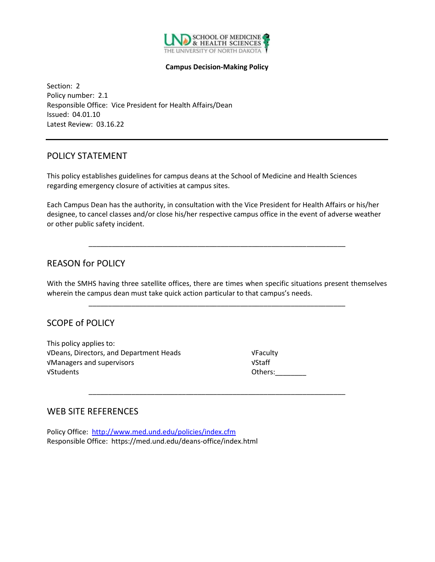

#### **Campus Decision-Making Policy**

Section: 2 Policy number: 2.1 Responsible Office: Vice President for Health Affairs/Dean Issued: 04.01.10 Latest Review: 03.16.22

#### POLICY STATEMENT

This policy establishes guidelines for campus deans at the School of Medicine and Health Sciences regarding emergency closure of activities at campus sites.

Each Campus Dean has the authority, in consultation with the Vice President for Health Affairs or his/her designee, to cancel classes and/or close his/her respective campus office in the event of adverse weather or other public safety incident.

\_\_\_\_\_\_\_\_\_\_\_\_\_\_\_\_\_\_\_\_\_\_\_\_\_\_\_\_\_\_\_\_\_\_\_\_\_\_\_\_\_\_\_\_\_\_\_\_\_\_\_\_\_\_\_\_\_\_\_\_\_\_\_\_\_\_

### REASON for POLICY

With the SMHS having three satellite offices, there are times when specific situations present themselves wherein the campus dean must take quick action particular to that campus's needs.

\_\_\_\_\_\_\_\_\_\_\_\_\_\_\_\_\_\_\_\_\_\_\_\_\_\_\_\_\_\_\_\_\_\_\_\_\_\_\_\_\_\_\_\_\_\_\_\_\_\_\_\_\_\_\_\_\_\_\_\_\_\_\_\_\_\_

\_\_\_\_\_\_\_\_\_\_\_\_\_\_\_\_\_\_\_\_\_\_\_\_\_\_\_\_\_\_\_\_\_\_\_\_\_\_\_\_\_\_\_\_\_\_\_\_\_\_\_\_\_\_\_\_\_\_\_\_\_\_\_\_\_\_

## SCOPE of POLICY

This policy applies to: √Deans, Directors, and Department Heads √Faculty √Managers and supervisors √Staff √Students Others:\_\_\_\_\_\_\_\_

#### WEB SITE REFERENCES

Policy Office: <http://www.med.und.edu/policies/index.cfm> Responsible Office: https://med.und.edu/deans-office/index.html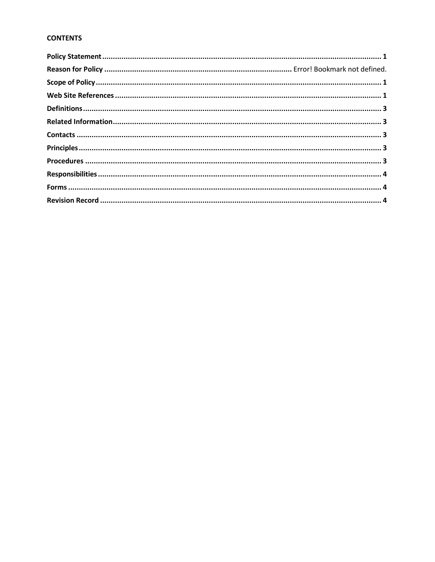#### **CONTENTS**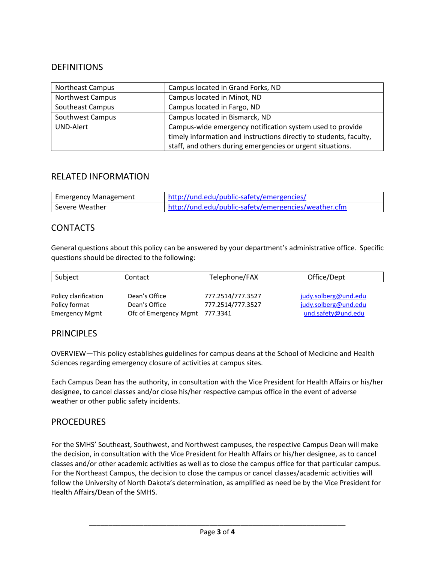## DEFINITIONS

| <b>Northeast Campus</b> | Campus located in Grand Forks, ND                                  |
|-------------------------|--------------------------------------------------------------------|
| <b>Northwest Campus</b> | Campus located in Minot, ND                                        |
| Southeast Campus        | Campus located in Fargo, ND                                        |
| Southwest Campus        | Campus located in Bismarck, ND                                     |
| <b>UND-Alert</b>        | Campus-wide emergency notification system used to provide          |
|                         | timely information and instructions directly to students, faculty, |
|                         | staff, and others during emergencies or urgent situations.         |

## RELATED INFORMATION

| <b>Emergency Management</b> | http://und.edu/public-safety/emergencies/            |
|-----------------------------|------------------------------------------------------|
| Severe Weather              | http://und.edu/public-safety/emergencies/weather.cfm |

## **CONTACTS**

General questions about this policy can be answered by your department's administrative office. Specific questions should be directed to the following:

| Subject               | Contact                        | Telephone/FAX     | Office/Dept          |
|-----------------------|--------------------------------|-------------------|----------------------|
|                       |                                |                   |                      |
| Policy clarification  | Dean's Office                  | 777.2514/777.3527 | judy.solberg@und.edu |
| Policy format         | Dean's Office                  | 777.2514/777.3527 | judy.solberg@und.edu |
| <b>Emergency Mgmt</b> | Ofc of Emergency Mgmt 777.3341 |                   | und.safety@und.edu   |

### PRINCIPI FS

OVERVIEW—This policy establishes guidelines for campus deans at the School of Medicine and Health Sciences regarding emergency closure of activities at campus sites.

Each Campus Dean has the authority, in consultation with the Vice President for Health Affairs or his/her designee, to cancel classes and/or close his/her respective campus office in the event of adverse weather or other public safety incidents.

#### **PROCEDURES**

For the SMHS' Southeast, Southwest, and Northwest campuses, the respective Campus Dean will make the decision, in consultation with the Vice President for Health Affairs or his/her designee, as to cancel classes and/or other academic activities as well as to close the campus office for that particular campus. For the Northeast Campus, the decision to close the campus or cancel classes/academic activities will follow the University of North Dakota's determination, as amplified as need be by the Vice President for Health Affairs/Dean of the SMHS.